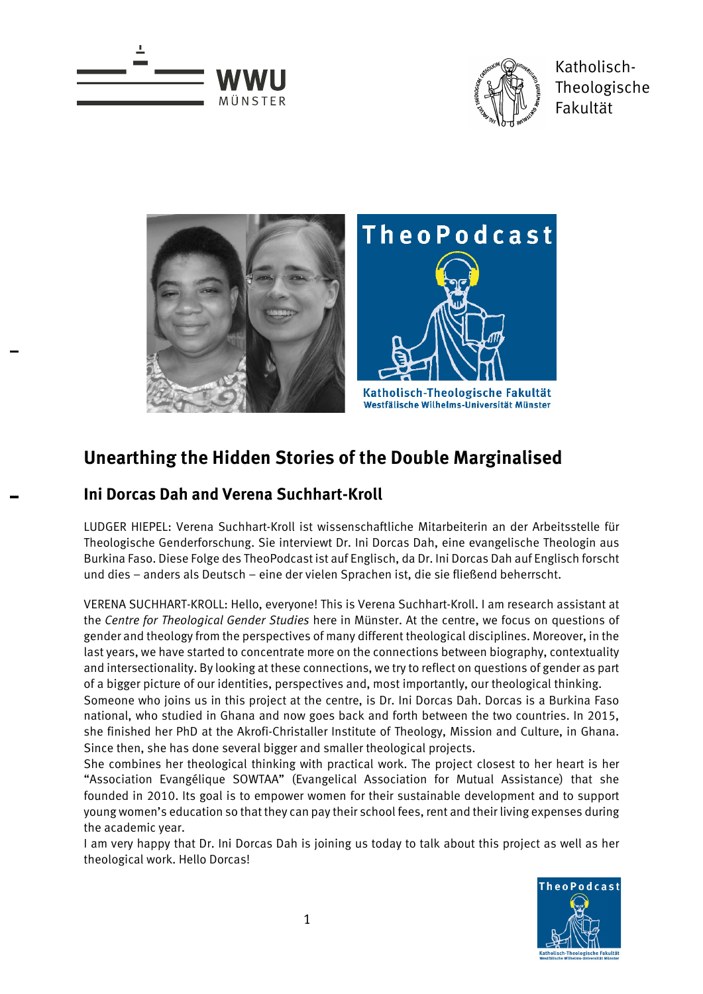



Katholisch-Theologische Fakultät



## **Unearthing the Hidden Stories of the Double Marginalised**

## **Ini Dorcas Dah and Verena Suchhart-Kroll**

LUDGER HIEPEL: Verena Suchhart-Kroll ist wissenschaftliche Mitarbeiterin an der Arbeitsstelle für Theologische Genderforschung. Sie interviewt Dr. Ini Dorcas Dah, eine evangelische Theologin aus Burkina Faso. Diese Folge des TheoPodcast ist auf Englisch, da Dr. Ini Dorcas Dah auf Englisch forscht und dies – anders als Deutsch – eine der vielen Sprachen ist, die sie fließend beherrscht.

VERENA SUCHHART-KROLL: Hello, everyone! This is Verena Suchhart-Kroll. I am research assistant at the *Centre for Theological Gender Studies* here in Münster. At the centre, we focus on questions of gender and theology from the perspectives of many different theological disciplines. Moreover, in the last years, we have started to concentrate more on the connections between biography, contextuality and intersectionality. By looking at these connections, we try to reflect on questions of gender as part of a bigger picture of our identities, perspectives and, most importantly, our theological thinking.

Someone who joins us in this project at the centre, is Dr. Ini Dorcas Dah. Dorcas is a Burkina Faso national, who studied in Ghana and now goes back and forth between the two countries. In 2015, she finished her PhD at the Akrofi-Christaller Institute of Theology, Mission and Culture, in Ghana. Since then, she has done several bigger and smaller theological projects.

She combines her theological thinking with practical work. The project closest to her heart is her "Association Evangélique SOWTAA" (Evangelical Association for Mutual Assistance) that she founded in 2010. Its goal is to empower women for their sustainable development and to support young women's education so that they can pay their school fees, rent and their living expenses during the academic year.

I am very happy that Dr. Ini Dorcas Dah is joining us today to talk about this project as well as her theological work. Hello Dorcas!

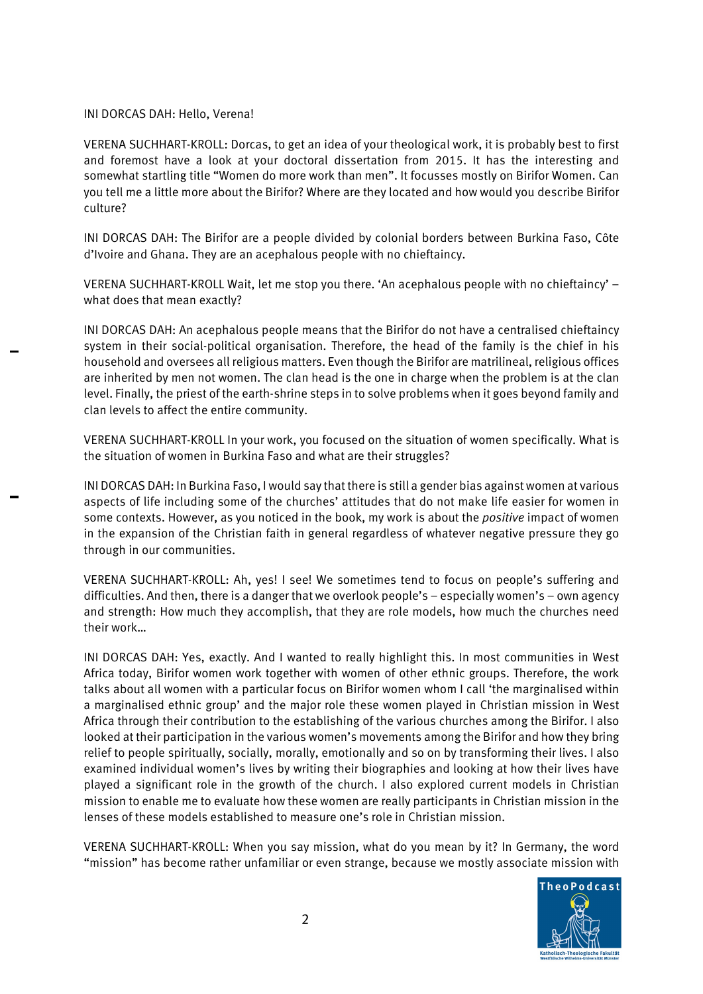## INI DORCAS DAH: Hello, Verena!

VERENA SUCHHART-KROLL: Dorcas, to get an idea of your theological work, it is probably best to first and foremost have a look at your doctoral dissertation from 2015. It has the interesting and somewhat startling title "Women do more work than men". It focusses mostly on Birifor Women. Can you tell me a little more about the Birifor? Where are they located and how would you describe Birifor culture?

INI DORCAS DAH: The Birifor are a people divided by colonial borders between Burkina Faso, Côte d'Ivoire and Ghana. They are an acephalous people with no chieftaincy.

VERENA SUCHHART-KROLL Wait, let me stop you there. 'An acephalous people with no chieftaincy' – what does that mean exactly?

INI DORCAS DAH: An acephalous people means that the Birifor do not have a centralised chieftaincy system in their social-political organisation. Therefore, the head of the family is the chief in his household and oversees all religious matters. Even though the Birifor are matrilineal, religious offices are inherited by men not women. The clan head is the one in charge when the problem is at the clan level. Finally, the priest of the earth-shrine steps in to solve problems when it goes beyond family and clan levels to affect the entire community.

VERENA SUCHHART-KROLL In your work, you focused on the situation of women specifically. What is the situation of women in Burkina Faso and what are their struggles?

INI DORCAS DAH: In Burkina Faso, I would say that there is still a gender bias against women at various aspects of life including some of the churches' attitudes that do not make life easier for women in some contexts. However, as you noticed in the book, my work is about the *positive* impact of women in the expansion of the Christian faith in general regardless of whatever negative pressure they go through in our communities.

VERENA SUCHHART-KROLL: Ah, yes! I see! We sometimes tend to focus on people's suffering and difficulties. And then, there is a danger that we overlook people's – especially women's – own agency and strength: How much they accomplish, that they are role models, how much the churches need their work…

INI DORCAS DAH: Yes, exactly. And I wanted to really highlight this. In most communities in West Africa today, Birifor women work together with women of other ethnic groups. Therefore, the work talks about all women with a particular focus on Birifor women whom I call 'the marginalised within a marginalised ethnic group' and the major role these women played in Christian mission in West Africa through their contribution to the establishing of the various churches among the Birifor. I also looked at their participation in the various women's movements among the Birifor and how they bring relief to people spiritually, socially, morally, emotionally and so on by transforming their lives. I also examined individual women's lives by writing their biographies and looking at how their lives have played a significant role in the growth of the church. I also explored current models in Christian mission to enable me to evaluate how these women are really participants in Christian mission in the lenses of these models established to measure one's role in Christian mission.

VERENA SUCHHART-KROLL: When you say mission, what do you mean by it? In Germany, the word "mission" has become rather unfamiliar or even strange, because we mostly associate mission with

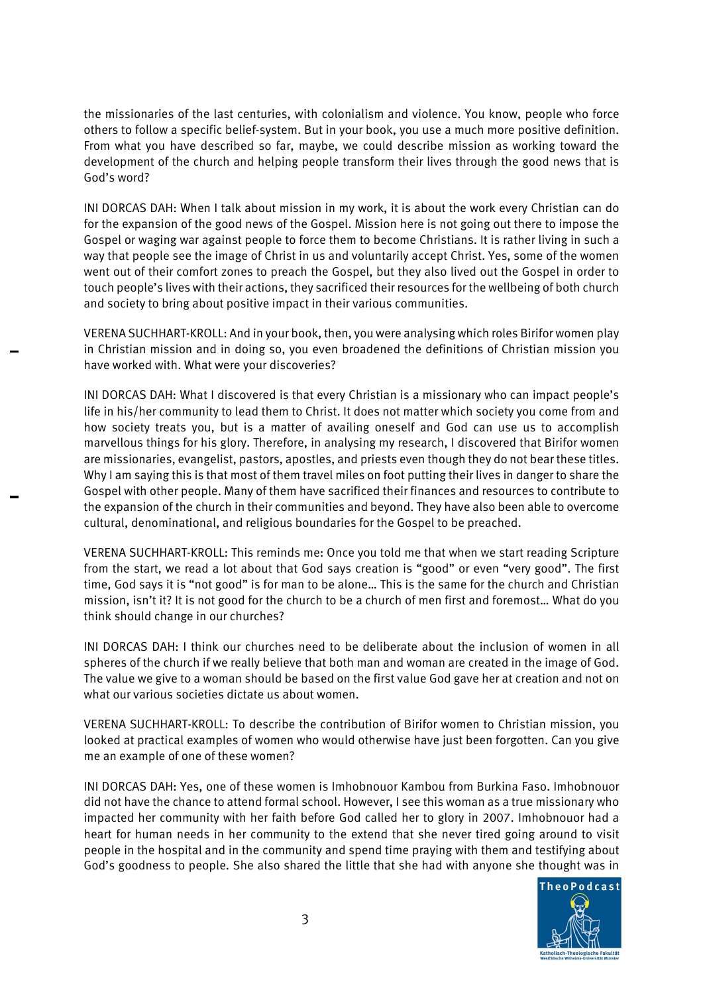the missionaries of the last centuries, with colonialism and violence. You know, people who force others to follow a specific belief-system. But in your book, you use a much more positive definition. From what you have described so far, maybe, we could describe mission as working toward the development of the church and helping people transform their lives through the good news that is God's word?

INI DORCAS DAH: When I talk about mission in my work, it is about the work every Christian can do for the expansion of the good news of the Gospel. Mission here is not going out there to impose the Gospel or waging war against people to force them to become Christians. It is rather living in such a way that people see the image of Christ in us and voluntarily accept Christ. Yes, some of the women went out of their comfort zones to preach the Gospel, but they also lived out the Gospel in order to touch people's lives with their actions, they sacrificed their resources for the wellbeing of both church and society to bring about positive impact in their various communities.

VERENA SUCHHART-KROLL: And in your book, then, you were analysing which roles Birifor women play in Christian mission and in doing so, you even broadened the definitions of Christian mission you have worked with. What were your discoveries?

INI DORCAS DAH: What I discovered is that every Christian is a missionary who can impact people's life in his/her community to lead them to Christ. It does not matter which society you come from and how society treats you, but is a matter of availing oneself and God can use us to accomplish marvellous things for his glory. Therefore, in analysing my research, I discovered that Birifor women are missionaries, evangelist, pastors, apostles, and priests even though they do not bear these titles. Why I am saying this is that most of them travel miles on foot putting their lives in danger to share the Gospel with other people. Many of them have sacrificed their finances and resources to contribute to the expansion of the church in their communities and beyond. They have also been able to overcome cultural, denominational, and religious boundaries for the Gospel to be preached.

VERENA SUCHHART-KROLL: This reminds me: Once you told me that when we start reading Scripture from the start, we read a lot about that God says creation is "good" or even "very good". The first time, God says it is "not good" is for man to be alone… This is the same for the church and Christian mission, isn't it? It is not good for the church to be a church of men first and foremost… What do you think should change in our churches?

INI DORCAS DAH: I think our churches need to be deliberate about the inclusion of women in all spheres of the church if we really believe that both man and woman are created in the image of God. The value we give to a woman should be based on the first value God gave her at creation and not on what our various societies dictate us about women.

VERENA SUCHHART-KROLL: To describe the contribution of Birifor women to Christian mission, you looked at practical examples of women who would otherwise have just been forgotten. Can you give me an example of one of these women?

INI DORCAS DAH: Yes, one of these women is Imhobnouor Kambou from Burkina Faso. Imhobnouor did not have the chance to attend formal school. However, I see this woman as a true missionary who impacted her community with her faith before God called her to glory in 2007. Imhobnouor had a heart for human needs in her community to the extend that she never tired going around to visit people in the hospital and in the community and spend time praying with them and testifying about God's goodness to people. She also shared the little that she had with anyone she thought was in

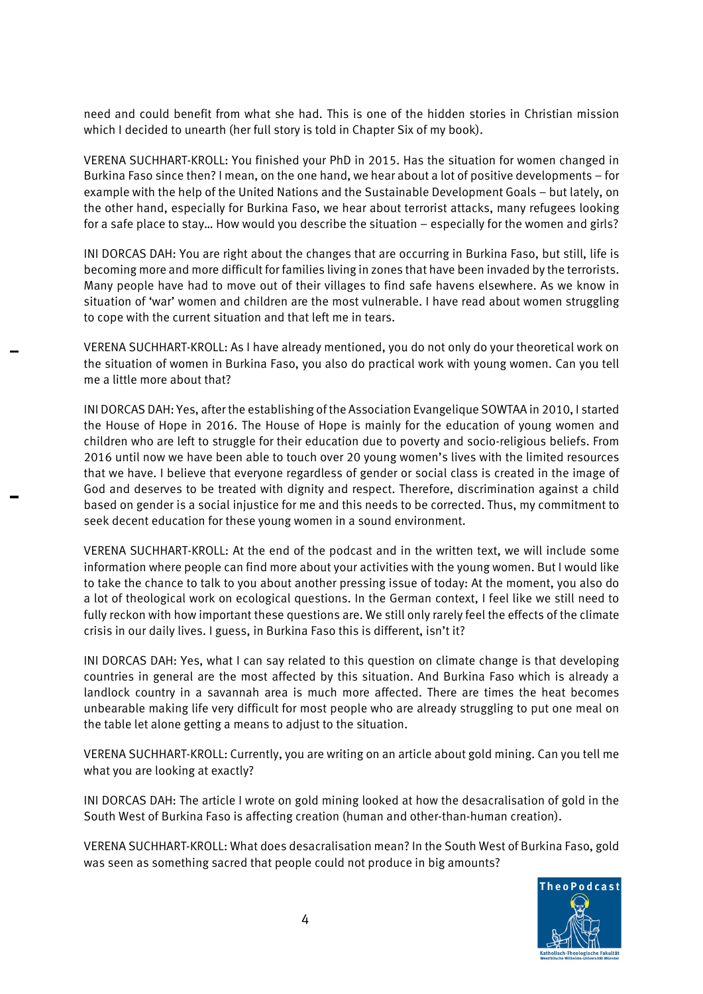need and could benefit from what she had. This is one of the hidden stories in Christian mission which I decided to unearth (her full story is told in Chapter Six of my book).

VERENA SUCHHART-KROLL: You finished your PhD in 2015. Has the situation for women changed in Burkina Faso since then? I mean, on the one hand, we hear about a lot of positive developments – for example with the help of the United Nations and the Sustainable Development Goals – but lately, on the other hand, especially for Burkina Faso, we hear about terrorist attacks, many refugees looking for a safe place to stay… How would you describe the situation – especially for the women and girls?

INI DORCAS DAH: You are right about the changes that are occurring in Burkina Faso, but still, life is becoming more and more difficult for families living in zones that have been invaded by the terrorists. Many people have had to move out of their villages to find safe havens elsewhere. As we know in situation of 'war' women and children are the most vulnerable. I have read about women struggling to cope with the current situation and that left me in tears.

VERENA SUCHHART-KROLL: As I have already mentioned, you do not only do your theoretical work on the situation of women in Burkina Faso, you also do practical work with young women. Can you tell me a little more about that?

INI DORCAS DAH: Yes, after the establishing of the Association Evangelique SOWTAA in 2010, I started the House of Hope in 2016. The House of Hope is mainly for the education of young women and children who are left to struggle for their education due to poverty and socio-religious beliefs. From 2016 until now we have been able to touch over 20 young women's lives with the limited resources that we have. I believe that everyone regardless of gender or social class is created in the image of God and deserves to be treated with dignity and respect. Therefore, discrimination against a child based on gender is a social injustice for me and this needs to be corrected. Thus, my commitment to seek decent education for these young women in a sound environment.

VERENA SUCHHART-KROLL: At the end of the podcast and in the written text, we will include some information where people can find more about your activities with the young women. But I would like to take the chance to talk to you about another pressing issue of today: At the moment, you also do a lot of theological work on ecological questions. In the German context, I feel like we still need to fully reckon with how important these questions are. We still only rarely feel the effects of the climate crisis in our daily lives. I guess, in Burkina Faso this is different, isn't it?

INI DORCAS DAH: Yes, what I can say related to this question on climate change is that developing countries in general are the most affected by this situation. And Burkina Faso which is already a landlock country in a savannah area is much more affected. There are times the heat becomes unbearable making life very difficult for most people who are already struggling to put one meal on the table let alone getting a means to adjust to the situation.

VERENA SUCHHART-KROLL: Currently, you are writing on an article about gold mining. Can you tell me what you are looking at exactly?

INI DORCAS DAH: The article I wrote on gold mining looked at how the desacralisation of gold in the South West of Burkina Faso is affecting creation (human and other-than-human creation).

VERENA SUCHHART-KROLL: What does desacralisation mean? In the South West of Burkina Faso, gold was seen as something sacred that people could not produce in big amounts?

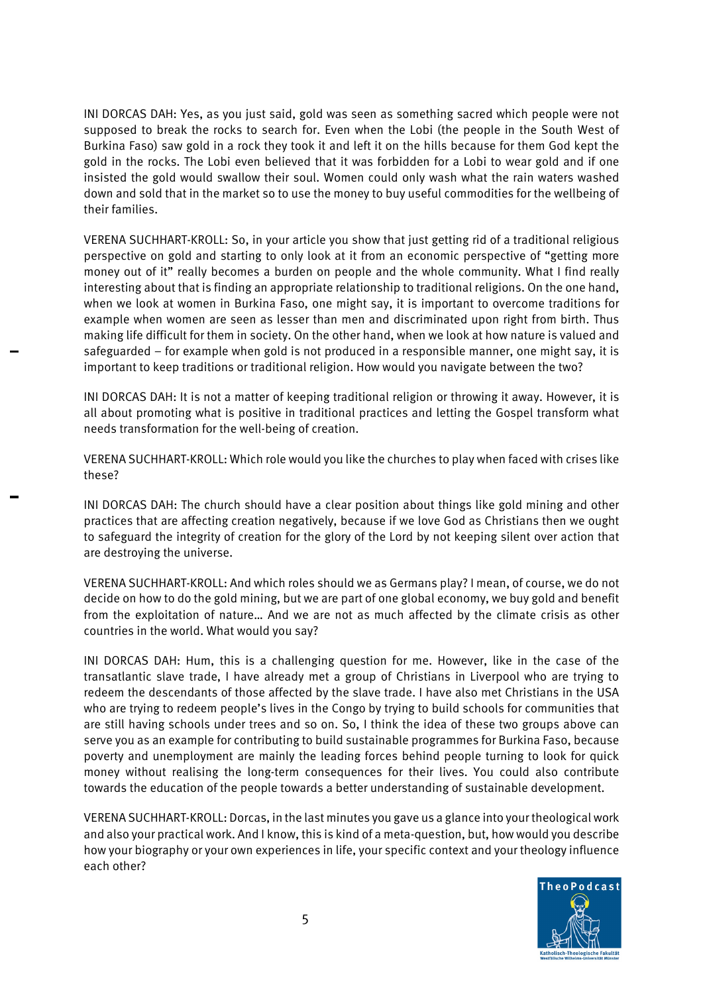INI DORCAS DAH: Yes, as you just said, gold was seen as something sacred which people were not supposed to break the rocks to search for. Even when the Lobi (the people in the South West of Burkina Faso) saw gold in a rock they took it and left it on the hills because for them God kept the gold in the rocks. The Lobi even believed that it was forbidden for a Lobi to wear gold and if one insisted the gold would swallow their soul. Women could only wash what the rain waters washed down and sold that in the market so to use the money to buy useful commodities for the wellbeing of their families.

VERENA SUCHHART-KROLL: So, in your article you show that just getting rid of a traditional religious perspective on gold and starting to only look at it from an economic perspective of "getting more money out of it" really becomes a burden on people and the whole community. What I find really interesting about that is finding an appropriate relationship to traditional religions. On the one hand, when we look at women in Burkina Faso, one might say, it is important to overcome traditions for example when women are seen as lesser than men and discriminated upon right from birth. Thus making life difficult for them in society. On the other hand, when we look at how nature is valued and safeguarded – for example when gold is not produced in a responsible manner, one might say, it is important to keep traditions or traditional religion. How would you navigate between the two?

INI DORCAS DAH: It is not a matter of keeping traditional religion or throwing it away. However, it is all about promoting what is positive in traditional practices and letting the Gospel transform what needs transformation for the well-being of creation.

VERENA SUCHHART-KROLL: Which role would you like the churches to play when faced with crises like these?

INI DORCAS DAH: The church should have a clear position about things like gold mining and other practices that are affecting creation negatively, because if we love God as Christians then we ought to safeguard the integrity of creation for the glory of the Lord by not keeping silent over action that are destroying the universe.

VERENA SUCHHART-KROLL: And which roles should we as Germans play? I mean, of course, we do not decide on how to do the gold mining, but we are part of one global economy, we buy gold and benefit from the exploitation of nature… And we are not as much affected by the climate crisis as other countries in the world. What would you say?

INI DORCAS DAH: Hum, this is a challenging question for me. However, like in the case of the transatlantic slave trade, I have already met a group of Christians in Liverpool who are trying to redeem the descendants of those affected by the slave trade. I have also met Christians in the USA who are trying to redeem people's lives in the Congo by trying to build schools for communities that are still having schools under trees and so on. So, I think the idea of these two groups above can serve you as an example for contributing to build sustainable programmes for Burkina Faso, because poverty and unemployment are mainly the leading forces behind people turning to look for quick money without realising the long-term consequences for their lives. You could also contribute towards the education of the people towards a better understanding of sustainable development.

VERENA SUCHHART-KROLL: Dorcas, in the last minutes you gave us a glance into your theological work and also your practical work. And I know, this is kind of a meta-question, but, how would you describe how your biography or your own experiences in life, your specific context and your theology influence each other?